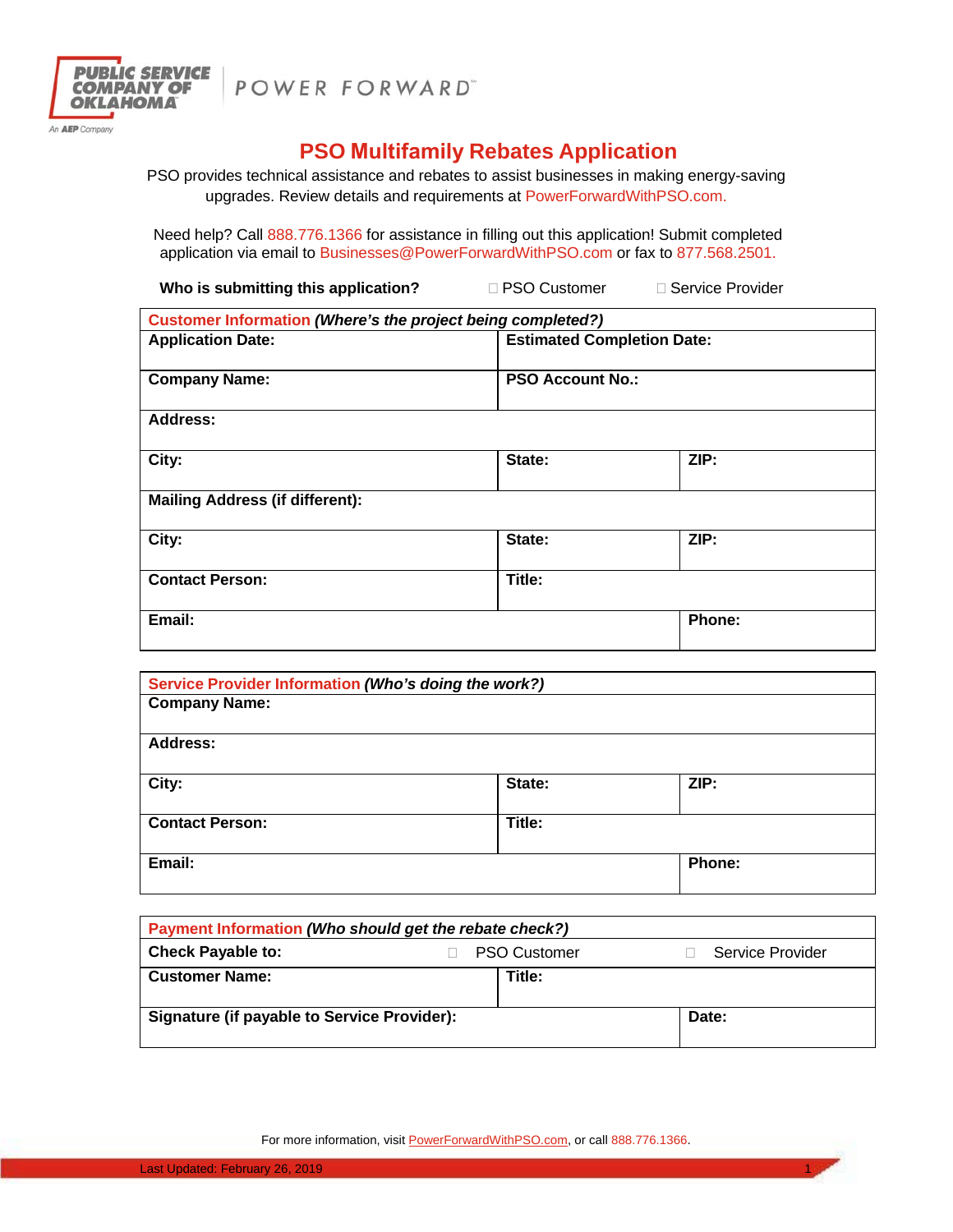

POWER FORWARD"

## **PSO Multifamily Rebates Application**

PSO provides technical assistance and rebates to assist businesses in making energy-saving upgrades. Review details and requirements at PowerForwardWithPSO.com.

Need help? Call 888.776.1366 for assistance in filling out this application! Submit completed application via email to Businesses@PowerForwardWithPSO.com or fax to 877.568.2501.

| Who is submitting this application?<br>□ PSO Customer       | □ Service Provider |  |
|-------------------------------------------------------------|--------------------|--|
| Customer Information (Where's the project being completed?) |                    |  |
| <b>Estimated Completion Date:</b>                           |                    |  |
| <b>PSO Account No.:</b>                                     |                    |  |
|                                                             |                    |  |
| State:                                                      | ZIP:               |  |
|                                                             |                    |  |
| State:                                                      | ZIP:               |  |
| Title:                                                      |                    |  |
|                                                             | Phone:             |  |
|                                                             |                    |  |

| Service Provider Information (Who's doing the work?) |        |               |
|------------------------------------------------------|--------|---------------|
| <b>Company Name:</b>                                 |        |               |
|                                                      |        |               |
| <b>Address:</b>                                      |        |               |
|                                                      |        |               |
| City:                                                | State: | ZIP:          |
|                                                      |        |               |
| <b>Contact Person:</b>                               | Title: |               |
|                                                      |        |               |
| Email:                                               |        | <b>Phone:</b> |
|                                                      |        |               |

| Payment Information (Who should get the rebate check?) |  |                     |                  |  |  |
|--------------------------------------------------------|--|---------------------|------------------|--|--|
| <b>Check Payable to:</b>                               |  | <b>PSO Customer</b> | Service Provider |  |  |
| <b>Customer Name:</b>                                  |  | Title:              |                  |  |  |
| Signature (if payable to Service Provider):            |  |                     | Date:            |  |  |

For more information, visit **PowerForwardWithPSO.com**, or call 888.776.1366.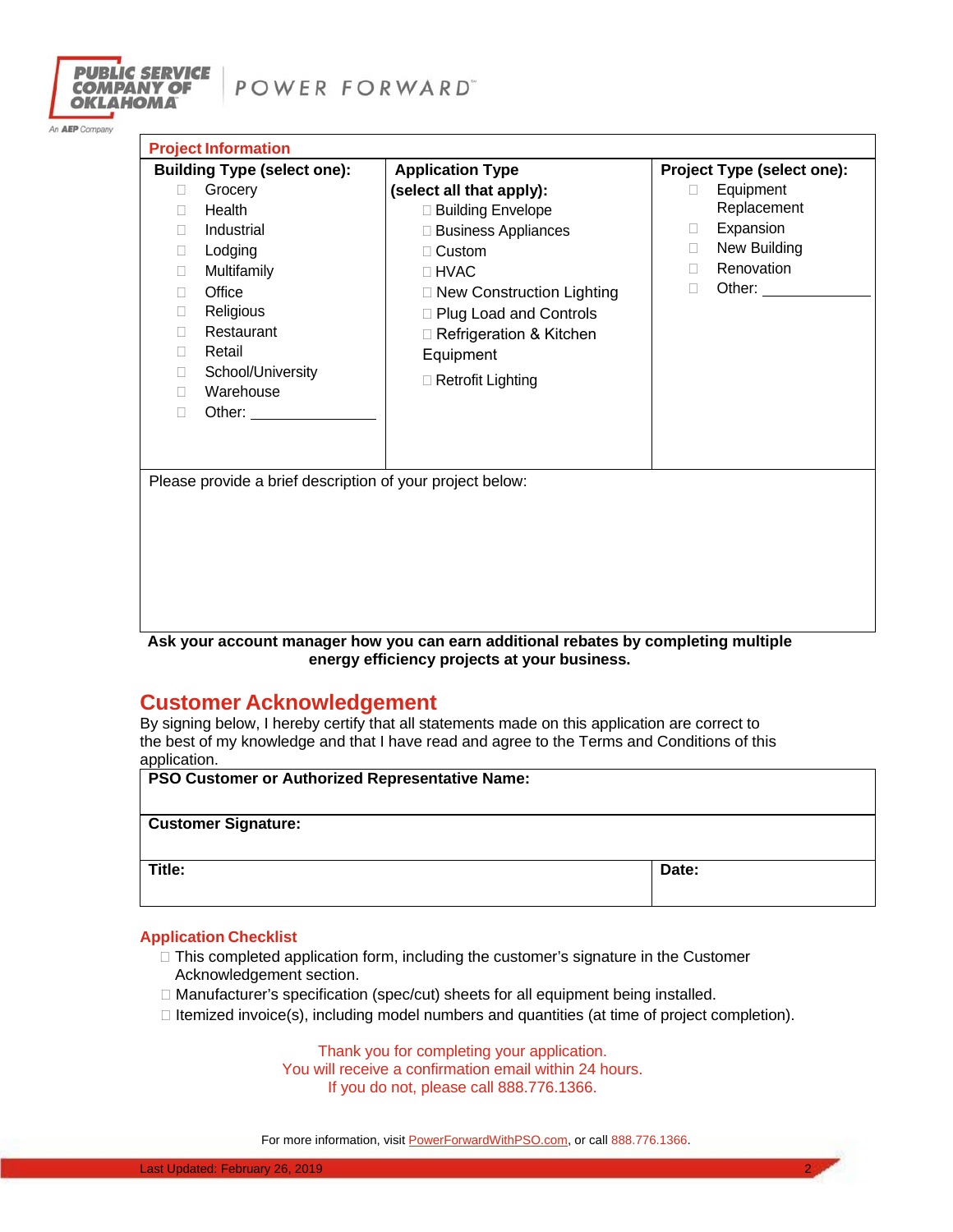

An AEP Company

| <b>Project Information</b>                                                                                                                                                                                                                                                                                                                                                                                                                                                       |                                                                                                                                                                                                                                                                 |                                                                                                                                                                   |
|----------------------------------------------------------------------------------------------------------------------------------------------------------------------------------------------------------------------------------------------------------------------------------------------------------------------------------------------------------------------------------------------------------------------------------------------------------------------------------|-----------------------------------------------------------------------------------------------------------------------------------------------------------------------------------------------------------------------------------------------------------------|-------------------------------------------------------------------------------------------------------------------------------------------------------------------|
| <b>Building Type (select one):</b><br>Grocery<br>П<br>Health<br>п<br>Industrial<br>П<br>Lodging<br>П.<br>Multifamily<br>П<br>Office<br>П<br>Religious<br>0<br>Restaurant<br>П<br>Retail<br>П.<br>School/University<br>П<br>Warehouse<br>П<br>Other: and the control of the control of the control of the control of the control of the control of the control of the control of the control of the control of the control of the control of the control of the control of t<br>П | <b>Application Type</b><br>(select all that apply):<br>□ Building Envelope<br>□ Business Appliances<br>$\Box$ Custom<br>$\Box$ HVAC<br>□ New Construction Lighting<br>□ Plug Load and Controls<br>□ Refrigeration & Kitchen<br>Equipment<br>□ Retrofit Lighting | Project Type (select one):<br>Equipment<br>П<br>Replacement<br>Expansion<br>$\mathbf{L}$<br>New Building<br>П.<br>Renovation<br>$\Box$<br>Other: $\_\_$<br>$\Box$ |
| Please provide a brief description of your project below:                                                                                                                                                                                                                                                                                                                                                                                                                        |                                                                                                                                                                                                                                                                 |                                                                                                                                                                   |

**Ask your account manager how you can earn additional rebates by completing multiple energy efficiency projects at your business.** 

## **Customer Acknowledgement**

By signing below, I hereby certify that all statements made on this application are correct to the best of my knowledge and that I have read and agree to the Terms and Conditions of this application.

| <b>PSO Customer or Authorized Representative Name:</b> |       |  |
|--------------------------------------------------------|-------|--|
| <b>Customer Signature:</b>                             |       |  |
| Title:                                                 | Date: |  |

## **Application Checklist**

- $\Box$  This completed application form, including the customer's signature in the Customer Acknowledgement section.
- □ Manufacturer's specification (spec/cut) sheets for all equipment being installed.
- $\Box$  Itemized invoice(s), including model numbers and quantities (at time of project completion).

Thank you for completing your application. You will receive a confirmation email within 24 hours. If you do not, please call 888.776.1366.

For more information, visit **PowerForwardWithPSO.com**, or call 888.776.1366.